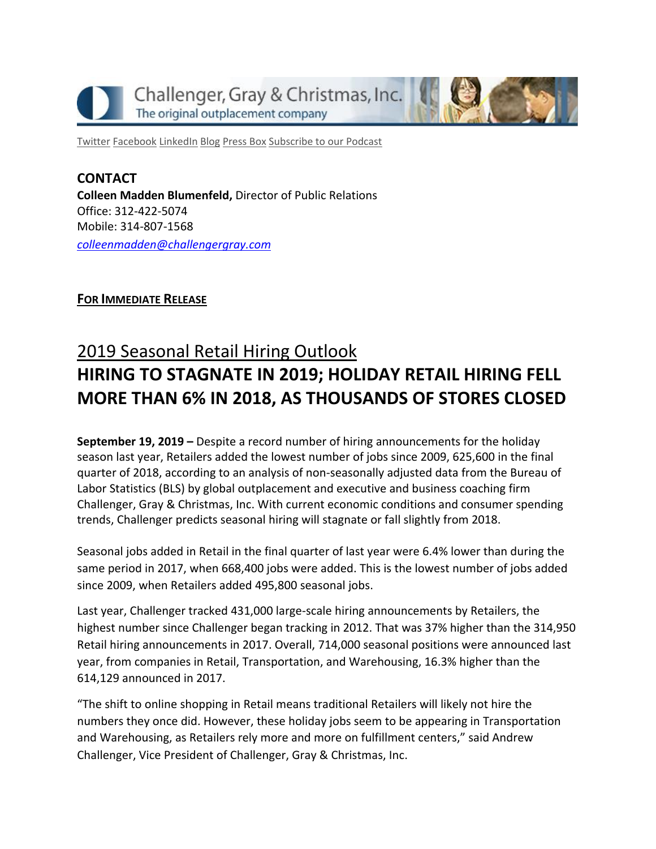

[Twitter](https://twitter.com/#!/ChallengerGray) [Facebook](https://www.facebook.com/ChallengerGray) [LinkedIn](http://www.linkedin.com/company/28264?trk=tyah) [Blog](http://www.challengergray.com/press/blog) [Press](http://www.challengergray.com/press/press-releases) Box [Subscribe](https://itunes.apple.com/us/podcast/challenger-podcast-hr-passport/id1155541697?mt=2) to our Podcast

**CONTACT Colleen Madden Blumenfeld,** Director of Public Relations Office: 312-422-5074 Mobile: 314-807-1568 *[colleenmadden@challengergray.com](mailto:colleenmadden@challengergray.com)*

# **FOR IMMEDIATE RELEASE**

# 2019 Seasonal Retail Hiring Outlook **HIRING TO STAGNATE IN 2019; HOLIDAY RETAIL HIRING FELL MORE THAN 6% IN 2018, AS THOUSANDS OF STORES CLOSED**

**September 19, 2019 –** Despite a record number of hiring announcements for the holiday season last year, Retailers added the lowest number of jobs since 2009, 625,600 in the final quarter of 2018, according to an analysis of non-seasonally adjusted data from the Bureau of Labor Statistics (BLS) by global outplacement and executive and business coaching firm Challenger, Gray & Christmas, Inc. With current economic conditions and consumer spending trends, Challenger predicts seasonal hiring will stagnate or fall slightly from 2018.

Seasonal jobs added in Retail in the final quarter of last year were 6.4% lower than during the same period in 2017, when 668,400 jobs were added. This is the lowest number of jobs added since 2009, when Retailers added 495,800 seasonal jobs.

Last year, Challenger tracked 431,000 large-scale hiring announcements by Retailers, the highest number since Challenger began tracking in 2012. That was 37% higher than the 314,950 Retail hiring announcements in 2017. Overall, 714,000 seasonal positions were announced last year, from companies in Retail, Transportation, and Warehousing, 16.3% higher than the 614,129 announced in 2017.

"The shift to online shopping in Retail means traditional Retailers will likely not hire the numbers they once did. However, these holiday jobs seem to be appearing in Transportation and Warehousing, as Retailers rely more and more on fulfillment centers," said Andrew Challenger, Vice President of Challenger, Gray & Christmas, Inc.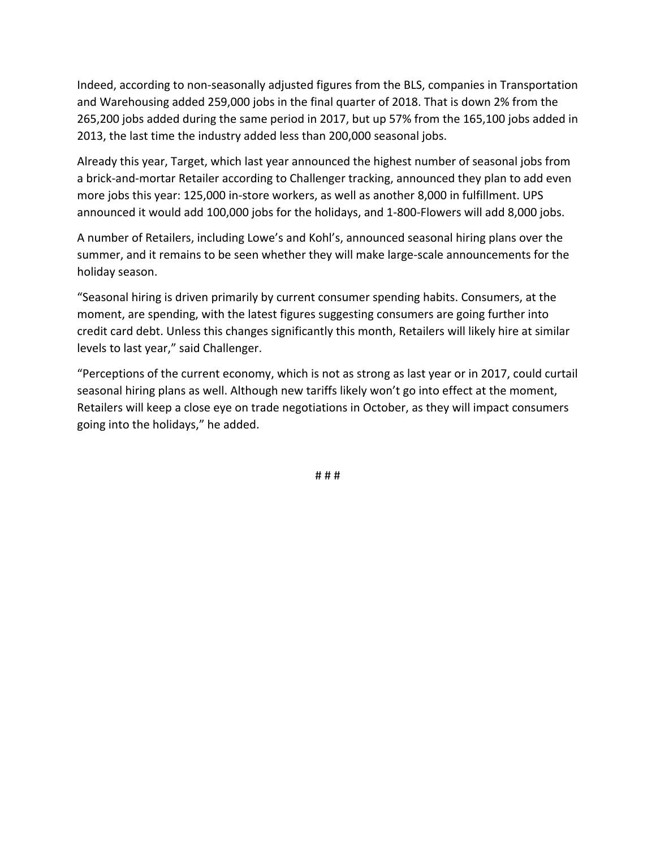Indeed, according to non-seasonally adjusted figures from the BLS, companies in Transportation and Warehousing added 259,000 jobs in the final quarter of 2018. That is down 2% from the 265,200 jobs added during the same period in 2017, but up 57% from the 165,100 jobs added in 2013, the last time the industry added less than 200,000 seasonal jobs.

Already this year, Target, which last year announced the highest number of seasonal jobs from a brick-and-mortar Retailer according to Challenger tracking, announced they plan to add even more jobs this year: 125,000 in-store workers, as well as another 8,000 in fulfillment. UPS announced it would add 100,000 jobs for the holidays, and 1-800-Flowers will add 8,000 jobs.

A number of Retailers, including Lowe's and Kohl's, announced seasonal hiring plans over the summer, and it remains to be seen whether they will make large-scale announcements for the holiday season.

"Seasonal hiring is driven primarily by current consumer spending habits. Consumers, at the moment, are spending, with the latest figures suggesting consumers are going further into credit card debt. Unless this changes significantly this month, Retailers will likely hire at similar levels to last year," said Challenger.

"Perceptions of the current economy, which is not as strong as last year or in 2017, could curtail seasonal hiring plans as well. Although new tariffs likely won't go into effect at the moment, Retailers will keep a close eye on trade negotiations in October, as they will impact consumers going into the holidays," he added.

# # #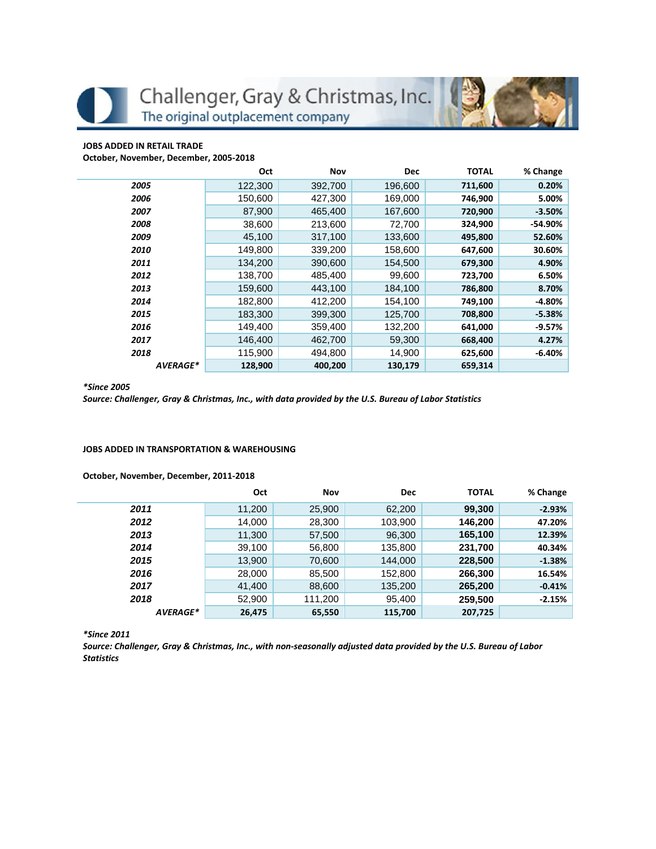Challenger, Gray & Christmas, Inc. The original outplacement company

## **JOBS ADDED IN RETAIL TRADE**

**October, November, December, 2005-2018**

|          | Oct     | Nov     | <b>Dec</b> | <b>TOTAL</b> | % Change  |
|----------|---------|---------|------------|--------------|-----------|
| 2005     | 122,300 | 392,700 | 196,600    | 711,600      | 0.20%     |
| 2006     | 150,600 | 427,300 | 169,000    | 746,900      | 5.00%     |
| 2007     | 87.900  | 465,400 | 167.600    | 720,900      | $-3.50%$  |
| 2008     | 38,600  | 213,600 | 72,700     | 324,900      | $-54.90%$ |
| 2009     | 45,100  | 317,100 | 133,600    | 495,800      | 52.60%    |
| 2010     | 149,800 | 339,200 | 158,600    | 647,600      | 30.60%    |
| 2011     | 134,200 | 390,600 | 154,500    | 679,300      | 4.90%     |
| 2012     | 138,700 | 485.400 | 99,600     | 723,700      | 6.50%     |
| 2013     | 159,600 | 443,100 | 184,100    | 786,800      | 8.70%     |
| 2014     | 182,800 | 412,200 | 154,100    | 749,100      | $-4.80%$  |
| 2015     | 183,300 | 399,300 | 125,700    | 708,800      | $-5.38%$  |
| 2016     | 149,400 | 359,400 | 132,200    | 641,000      | $-9.57%$  |
| 2017     | 146.400 | 462,700 | 59,300     | 668,400      | 4.27%     |
| 2018     | 115,900 | 494.800 | 14,900     | 625,600      | $-6.40%$  |
| AVERAGE* | 128,900 | 400,200 | 130,179    | 659,314      |           |

#### *\*Since 2005*

*Source: Challenger, Gray & Christmas, Inc., with data provided by the U.S. Bureau of Labor Statistics*

### **JOBS ADDED IN TRANSPORTATION & WAREHOUSING**

## **October, November, December, 2011-2018**

|          | Oct    | Nov     | <b>Dec</b> | <b>TOTAL</b> | % Change |
|----------|--------|---------|------------|--------------|----------|
| 2011     | 11,200 | 25,900  | 62,200     | 99,300       | $-2.93%$ |
| 2012     | 14,000 | 28,300  | 103,900    | 146,200      | 47.20%   |
| 2013     | 11,300 | 57,500  | 96,300     | 165,100      | 12.39%   |
| 2014     | 39,100 | 56,800  | 135,800    | 231,700      | 40.34%   |
| 2015     | 13,900 | 70,600  | 144,000    | 228,500      | $-1.38%$ |
| 2016     | 28,000 | 85,500  | 152,800    | 266,300      | 16.54%   |
| 2017     | 41,400 | 88,600  | 135,200    | 265,200      | $-0.41%$ |
| 2018     | 52,900 | 111,200 | 95,400     | 259,500      | $-2.15%$ |
| AVERAGE* | 26,475 | 65,550  | 115,700    | 207,725      |          |

*\*Since 2011*

*Source: Challenger, Gray & Christmas, Inc., with non-seasonally adjusted data provided by the U.S. Bureau of Labor Statistics*